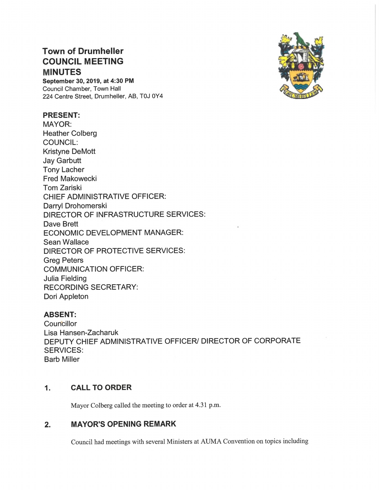# **Town of Drumheller COUNCIL MEETING MINUTES**

September 30, 2019, at 4:30 PM Council Chamber, Town Hall 224 Centre Street, Drumheller, AB, T0J 0Y4

# **PRESENT:**

**MAYOR: Heather Colberg COUNCIL: Kristyne DeMott Jay Garbutt Tony Lacher Fred Makowecki Tom Zariski CHIEF ADMINISTRATIVE OFFICER:** Darryl Drohomerski DIRECTOR OF INFRASTRUCTURE SERVICES: Dave Brett ECONOMIC DEVELOPMENT MANAGER: Sean Wallace DIRECTOR OF PROTECTIVE SERVICES: **Greg Peters COMMUNICATION OFFICER: Julia Fielding RECORDING SECRETARY:** Dori Appleton

# **ABSENT:**

Councillor Lisa Hansen-Zacharuk DEPUTY CHIEF ADMINISTRATIVE OFFICER/ DIRECTOR OF CORPORATE **SERVICES: Barb Miller** 

## $1.$ **CALL TO ORDER**

Mayor Colberg called the meeting to order at 4.31 p.m.

## **MAYOR'S OPENING REMARK**  $2.$

Council had meetings with several Ministers at AUMA Convention on topics including

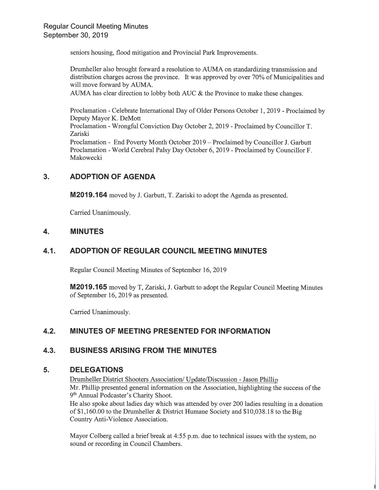seniors housing, flood mitigation and Provincial Park Improvements.

Drumheller also brought forward a resolution to AUMA on standardizing transmission and distribution charges across the province. It was approved by over 70% of Municipalities and will move forward by AUMA.

AUMA has clear direction to lobby both AUC & the Province to make these changes.

Proclamation - Celebrate International Day of Older Persons October 1, 2019 - Proclaimed by Deputy Mayor K. DeMott Proclamation - Wrongful Conviction Day October 2, 2019 - Proclaimed by Councillor T. Zariski Proclamation - End Poverty Month October 2019 – Proclaimed by Councillor J. Garbutt Proclamation - World Cerebral Palsy Day October 6, 2019 - Proclaimed by Councillor F. Makowecki

# $3.$ **ADOPTION OF AGENDA**

**M2019.164** moved by J. Garbutt, T. Zariski to adopt the Agenda as presented.

Carried Unanimously.

## 4. **MINUTES**

# ADOPTION OF REGULAR COUNCIL MEETING MINUTES  $4.1.$

Regular Council Meeting Minutes of September 16, 2019

**M2019.165** moved by T, Zariski, J. Garbutt to adopt the Regular Council Meeting Minutes of September 16, 2019 as presented.

Carried Unanimously.

# $4.2.$ MINUTES OF MEETING PRESENTED FOR INFORMATION

## $4.3.$ **BUSINESS ARISING FROM THE MINUTES**

## 5. **DELEGATIONS**

Drumheller District Shooters Association/ Update/Discussion - Jason Phillip Mr. Phillip presented general information on the Association, highlighting the success of the 9<sup>th</sup> Annual Podcaster's Charity Shoot. He also spoke about ladies day which was attended by over 200 ladies resulting in a donation

of \$1,160.00 to the Drumheller & District Humane Society and  $$10,038.18$  to the Big Country Anti-Violence Association.

Mayor Colberg called a brief break at 4:55 p.m. due to technical issues with the system, no sound or recording in Council Chambers.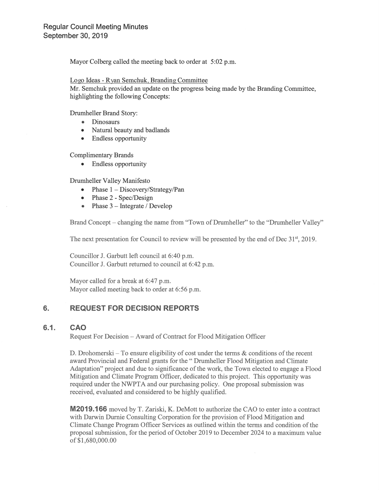Mayor Colberg called the meeting back to order at 5:02 p.m.

# Logo Ideas - Ryan Semchuk, Branding Committee

Mr. Semchuk provided an update on the progress being made by the Branding Committee, highlighting the following Concepts:

Drumheller Brand Story:

- Dinosaurs
- Natural beauty and badlands
- Endless opportunity

**Complimentary Brands** 

• Endless opportunity

Drumheller Valley Manifesto

- Phase  $1 Discovery/Strategy/Pan$
- $\bullet$  Phase 2 Spec/Design
- Phase  $3$  Integrate / Develop

Brand Concept – changing the name from "Town of Drumheller" to the "Drumheller Valley"

The next presentation for Council to review will be presented by the end of Dec 31<sup>st</sup>, 2019.

Councillor J. Garbutt left council at 6:40 p.m. Councillor J. Garbutt returned to council at 6:42 p.m.

Mayor called for a break at 6:47 p.m. Mayor called meeting back to order at 6:56 p.m.

## 6. **REQUEST FOR DECISION REPORTS**

### $6.1.$ **CAO**

Request For Decision – Award of Contract for Flood Mitigation Officer

D. Drohomerski – To ensure eligibility of cost under the terms  $\&$  conditions of the recent award Provincial and Federal grants for the "Drumheller Flood Mitigation and Climate Adaptation" project and due to significance of the work, the Town elected to engage a Flood Mitigation and Climate Program Officer, dedicated to this project. This opportunity was required under the NWPTA and our purchasing policy. One proposal submission was received, evaluated and considered to be highly qualified.

**M2019.166** moved by T. Zariski, K. DeMott to authorize the CAO to enter into a contract with Darwin Durnie Consulting Corporation for the provision of Flood Mitigation and Climate Change Program Officer Services as outlined within the terms and condition of the proposal submission, for the period of October 2019 to December 2024 to a maximum value of \$1,680,000.00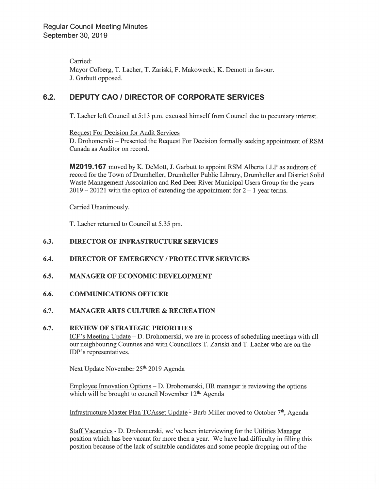Carried: Mayor Colberg, T. Lacher, T. Zariski, F. Makowecki, K. Demott in favour. J. Garbutt opposed.

# 6.2. DEPUTY CAO / DIRECTOR OF CORPORATE SERVICES

T. Lacher left Council at 5:13 p.m. excused himself from Council due to pecuniary interest.

Request For Decision for Audit Services

D. Drohomerski — Presented the Request For Decision formally seeking appointment of RSM Canada as Auditor on record.

M2019.167 moved by K. DeMott, J. Garbutt to appoint RSM Alberta LLP as auditors of record for the Town of Drumheller, Drumheller Public Library, Drumheller and District Solid Waste Management Association and Red Deer River Municipal Users Group for the years  $2019 - 20121$  with the option of extending the appointment for  $2 - 1$  year terms.

Carried Unanimously.

T. Lacher returned to Council at 5.35 pm.

# 6.3. DIRECTOR OF INFRASTRUCTURE SERVICES

# 6.4. DIRECTOR OF EMERGENCY / PROTECTIVE SERVICES

### 6.5. **MANAGER OF ECONOMIC DEVELOPMENT**

### 6.6. COMMUNICATIONS OFFICER

### 6.7. MANAGER ARTS CULTURE & RECREATION

### 6.7. REVIEW OF STRATEGIC PRIORITIES

ICF's Meeting Update  $-$  D. Drohomerski, we are in process of scheduling meetings with all our neighbouring Counties and with Councillors T. Zariski and T. Lacher who are on the IDP's representatives.

Next Update November 25<sup>th,</sup> 2019 Agenda

Employee Innovation Options - D. Drohomerski, HR manager is reviewing the options which will be brought to council November  $12<sup>th</sup>$ . Agenda

Infrastructure Master Plan TCAsset Update - Barb Miller moved to October  $7<sup>th</sup>$ , Agenda

Staff Vacancies - D. Drohomerski, we've been interviewing for the Utilities Manager position which has bee vacant for more then a year. We have had difficulty in filling this position because of the lack of suitable candidates and some people dropping out of the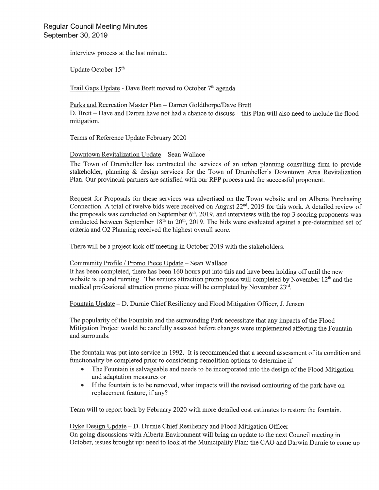interview process at the last minute.

Update October 15<sup>th</sup>

Trail Gaps Update - Dave Brett moved to October 7<sup>th</sup> agenda

Parks and Recreation Master Plan - Darren Goldthorpe/Dave Brett D. Brett – Dave and Darren have not had a chance to discuss – this Plan will also need to include the flood mitigation.

Terms of Reference Update February 2020

Downtown Revitalization Update - Sean Wallace

The Town of Drumheller has contracted the services of an urban planning consulting firm to provide stakeholder, planning & design services for the Town of Drumheller's Downtown Area Revitalization Plan. Our provincial partners are satisfied with our RFP process and the successful proponent.

Request for Proposals for these services was advertised on the Town website and on Alberta Purchasing Connection. A total of twelve bids were received on August 22<sup>nd</sup>, 2019 for this work. A detailed review of the proposals was conducted on September  $6<sup>th</sup>$ , 2019, and interviews with the top 3 scoring proponents was conducted between September 18<sup>th</sup> to 20<sup>th</sup>, 2019. The bids were evaluated against a pre-determined set of criteria and O2 Planning received the highest overall score.

There will be a project kick off meeting in October 2019 with the stakeholders.

# Community Profile / Promo Piece Update - Sean Wallace

It has been completed, there has been 160 hours put into this and have been holding off until the new website is up and running. The seniors attraction promo piece will completed by November  $12<sup>th</sup>$  and the medical professional attraction promo piece will be completed by November 23rd.

Fountain Update – D. Durnie Chief Resiliency and Flood Mitigation Officer, J. Jensen

The popularity of the Fountain and the surrounding Park necessitate that any impacts of the Flood Mitigation Project would be carefully assessed before changes were implemented affecting the Fountain and surrounds.

The fountain was put into service in 1992. It is recommended that a second assessment of its condition and functionality be completed prior to considering demolition options to determine if

- $\bullet$ The Fountain is salvageable and needs to be incorporated into the design of the Flood Mitigation and adaptation measures or
- $\bullet$ If the fountain is to be removed, what impacts will the revised contouring of the park have on replacement feature, if any?

Team will to report back by February 2020 with more detailed cost estimates to restore the fountain.

Dyke Design Update – D. Durnie Chief Resiliency and Flood Mitigation Officer

On going discussions with Alberta Environment will bring an update to the next Council meeting in October, issues brought up: need to look at the Municipality Plan: the CAO and Darwin Durnie to come up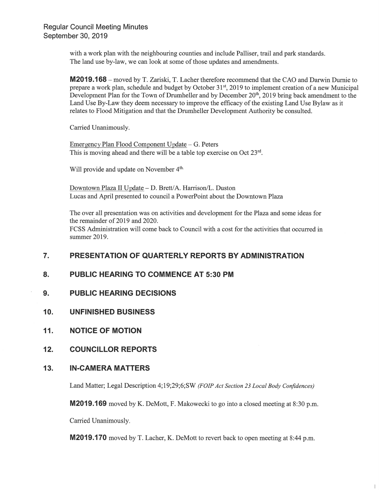with a work plan with the neighbouring counties and include Palliser, trail and park standards. The land use by-law, we can look at some of those updates and amendments.

**M2019.168** – moved by T. Zariski, T. Lacher therefore recommend that the CAO and Darwin Durnie to prepare a work plan, schedule and budget by October 31<sup>st</sup>, 2019 to implement creation of a new Municipal Development Plan for the Town of Drumheller and by December 20<sup>th</sup>, 2019 bring back amendment to the Land Use By-Law they deem necessary to improve the efficacy of the existing Land Use Bylaw as it relates to Flood Mitigation and that the Drumheller Development Authority be consulted.

Carried Unanimously.

Emergency Plan Flood Component Update – G. Peters This is moving ahead and there will be a table top exercise on Oct 23rd.

Will provide and update on November 4<sup>th.</sup>

Downtown Plaza II Update - D. Brett/A. Harrison/L. Duston Lucas and April presented to council a PowerPoint about the Downtown Plaza

The over all presentation was on activities and development for the Plaza and some ideas for the remainder of 2019 and 2020. FCSS Administration will come back to Council with a cost for the activities that occurred in summer 2019.

# $\overline{7}$ . PRESENTATION OF QUARTERLY REPORTS BY ADMINISTRATION

## 8. **PUBLIC HEARING TO COMMENCE AT 5:30 PM**

- 9. **PUBLIC HEARING DECISIONS**
- $10.$ **UNFINISHED BUSINESS**
- $11.$ **NOTICE OF MOTION**
- $12.$ **COUNCILLOR REPORTS**

## $13.$ **IN-CAMERA MATTERS**

Land Matter; Legal Description 4;19;29;6;SW (FOIP Act Section 23 Local Body Confidences)

**M2019.169** moved by K. DeMott, F. Makowecki to go into a closed meeting at 8:30 p.m.

Carried Unanimously.

**M2019.170** moved by T. Lacher, K. DeMott to revert back to open meeting at 8:44 p.m.